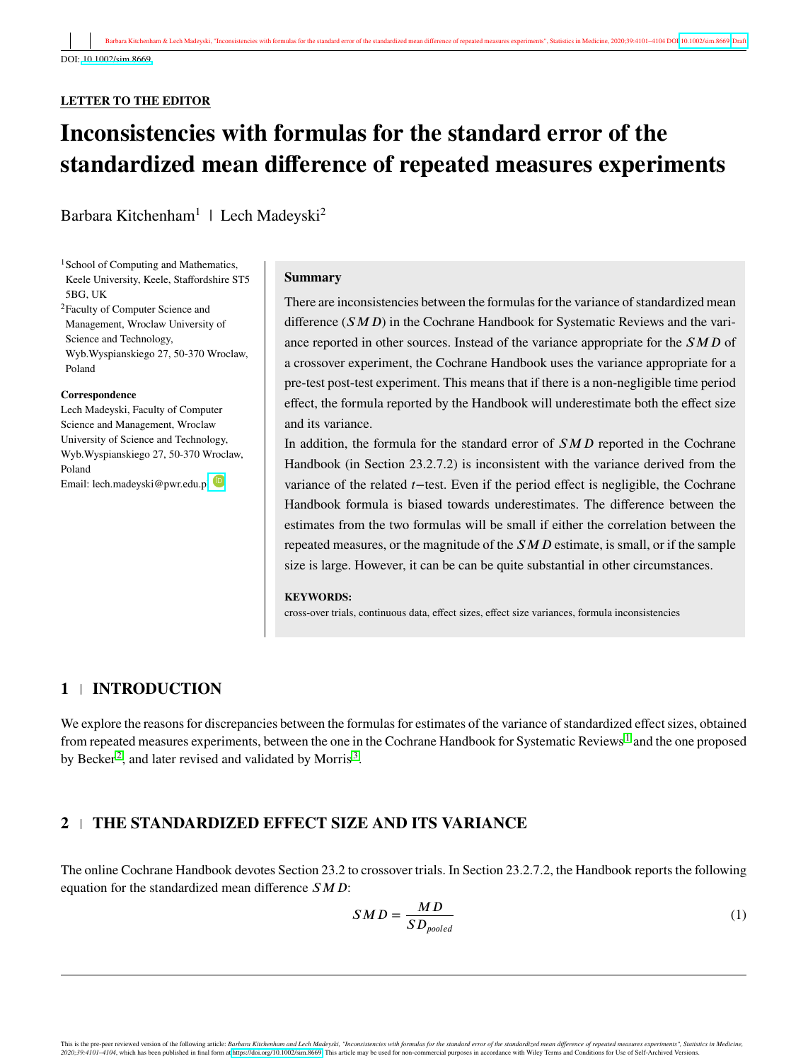### **LETTER TO THE EDITOR**

# **Inconsistencies with formulas for the standard error of the standardized mean difference of repeated measures experiments**

Barbara Kitchenham<sup>1</sup> | Lech Madeyski<sup>2</sup>

<sup>1</sup>School of Computing and Mathematics, Keele University, Keele, Staffordshire ST5 5BG, UK

<sup>2</sup>Faculty of Computer Science and Management, Wroclaw University of Science and Technology, Wyb.Wyspianskiego 27, 50-370 Wroclaw, Poland

#### **Correspondence**

Lech Madeyski, Faculty of Computer Science and Management, Wroclaw University of Science and Technology, Wyb.Wyspianskiego 27, 50-370 Wroclaw, Poland Email: lech.madeyski@pwr.edu.pl

#### **Summary**

There are inconsistencies between the formulas for the variance of standardized mean difference (*𝑆𝑀𝐷*) in the Cochrane Handbook for Systematic Reviews and the variance reported in other sources. Instead of the variance appropriate for the *SMD* of a crossover experiment, the Cochrane Handbook uses the variance appropriate for a pre-test post-test experiment. This means that if there is a non-negligible time period effect, the formula reported by the Handbook will underestimate both the effect size and its variance.

In addition, the formula for the standard error of *SMD* reported in the Cochrane Handbook (in Section 23.2.7.2) is inconsistent with the variance derived from the variance of the related *𝑡*−test. Even if the period effect is negligible, the Cochrane Handbook formula is biased towards underestimates. The difference between the estimates from the two formulas will be small if either the correlation between the repeated measures, or the magnitude of the *SMD* estimate, is small, or if the sample size is large. However, it can be can be quite substantial in other circumstances.

#### **KEYWORDS:**

cross-over trials, continuous data, effect sizes, effect size variances, formula inconsistencies

## **1 INTRODUCTION**

We explore the reasons for discrepancies between the formulas for estimates of the variance of standardized effect sizes, obtained from repeated measures experiments, between the one in the Cochrane Handbook for Systematic Reviews<sup>[1](#page-3-0)</sup> and the one proposed by Becker<sup>[2](#page-3-1)</sup>, and later revised and validated by Morris<sup>[3](#page-3-2)</sup>.

# **2 THE STANDARDIZED EFFECT SIZE AND ITS VARIANCE**

The online Cochrane Handbook devotes Section 23.2 to crossover trials. In Section 23.2.7.2, the Handbook reports the following equation for the standardized mean difference *SMD*:

<span id="page-0-0"></span>
$$
SMD = \frac{MD}{SD_{pooled}} \tag{1}
$$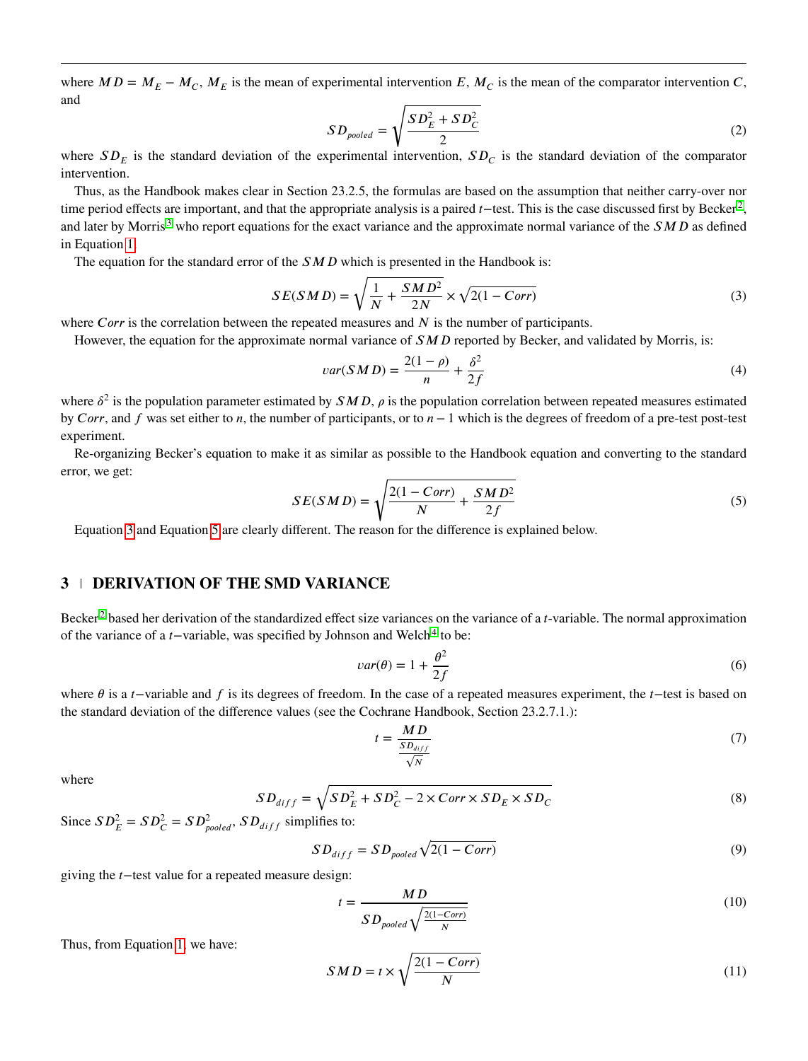where  $MD = M_E - M_C$ ,  $M_E$  is the mean of experimental intervention *E*,  $M_C$  is the mean of the comparator intervention *C*, and √

$$
SD_{pooled} = \sqrt{\frac{SD_E^2 + SD_C^2}{2}}
$$
 (2)

where  $SD_E$  is the standard deviation of the experimental intervention,  $SD_C$  is the standard deviation of the comparator intervention.

Thus, as the Handbook makes clear in Section 23.2.5, the formulas are based on the assumption that neither carry-over nor time period effects are important, and that the appropriate analysis is a paired *t*−test. This is the case discussed first by Becker<sup>[2](#page-3-1)</sup>, and later by Morris<sup>[3](#page-3-2)</sup> who report equations for the exact variance and the approximate normal variance of the *SMD* as defined in Equation [1.](#page-0-0)

The equation for the standard error of the *SMD* which is presented in the Handbook is:

$$
SE(SMD) = \sqrt{\frac{1}{N} + \frac{SMD^2}{2N}} \times \sqrt{2(1 - Corr)}
$$
\n(3)

where *Corr* is the correlation between the repeated measures and *N* is the number of participants.

However, the equation for the approximate normal variance of *SMD* reported by Becker, and validated by Morris, is:

<span id="page-1-0"></span>
$$
var(SMD) = \frac{2(1-\rho)}{n} + \frac{\delta^2}{2f}
$$
\n<sup>(4)</sup>

where  $\delta^2$  is the population parameter estimated by  $SMD$ ,  $\rho$  is the population correlation between repeated measures estimated by *𝐶𝑜𝑟𝑟*, and *𝑓* was set either to *𝑛*, the number of participants, or to *𝑛* − 1 which is the degrees of freedom of a pre-test post-test experiment.

<span id="page-1-1"></span>Re-organizing Becker's equation to make it as similar as possible to the Handbook equation and converting to the standard error, we get:

$$
SE(SMD) = \sqrt{\frac{2(1 - Corr)}{N} + \frac{SMD^2}{2f}}
$$
\n<sup>(5)</sup>

Equation [3](#page-1-0) and Equation [5](#page-1-1) are clearly different. The reason for the difference is explained below.

## **3 DERIVATION OF THE SMD VARIANCE**

Becker<sup>[2](#page-3-1)</sup> based her derivation of the standardized effect size variances on the variance of a *t*-variable. The normal approximation of the variance of a *t*−variable, was specified by Johnson and Welch<sup>[4](#page-3-3)</sup> to be:

<span id="page-1-2"></span>
$$
var(\theta) = 1 + \frac{\theta^2}{2f} \tag{6}
$$

where *θ* is a *t*−variable and *f* is its degrees of freedom. In the case of a repeated measures experiment, the *t*−test is based on the standard deviation of the difference values (see the Cochrane Handbook, Section 23.2.7.1.):

$$
t = \frac{MD}{\frac{SD_{diff}}{\sqrt{N}}}
$$
 (7)

where

$$
SD_{diff} = \sqrt{SD_E^2 + SD_C^2 - 2 \times Corr \times SD_E \times SD_C}
$$
\n(8)

Since  $SD_E^2 = SD_C^2 = SD_{pooled}^2$ ,  $SD_{diff}$  simplifies to:

$$
SD_{diff} = SD_{pooled} \sqrt{2(1 - Corr)}
$$
\n(9)

giving the *𝑡*−test value for a repeated measure design:

$$
t = \frac{MD}{SD_{pooled} \sqrt{\frac{2(1 - Corr)}{N}}}
$$
(10)

Thus, from Equation [1,](#page-0-0) we have:

$$
SMD = t \times \sqrt{\frac{2(1 - Corr)}{N}}
$$
\n(11)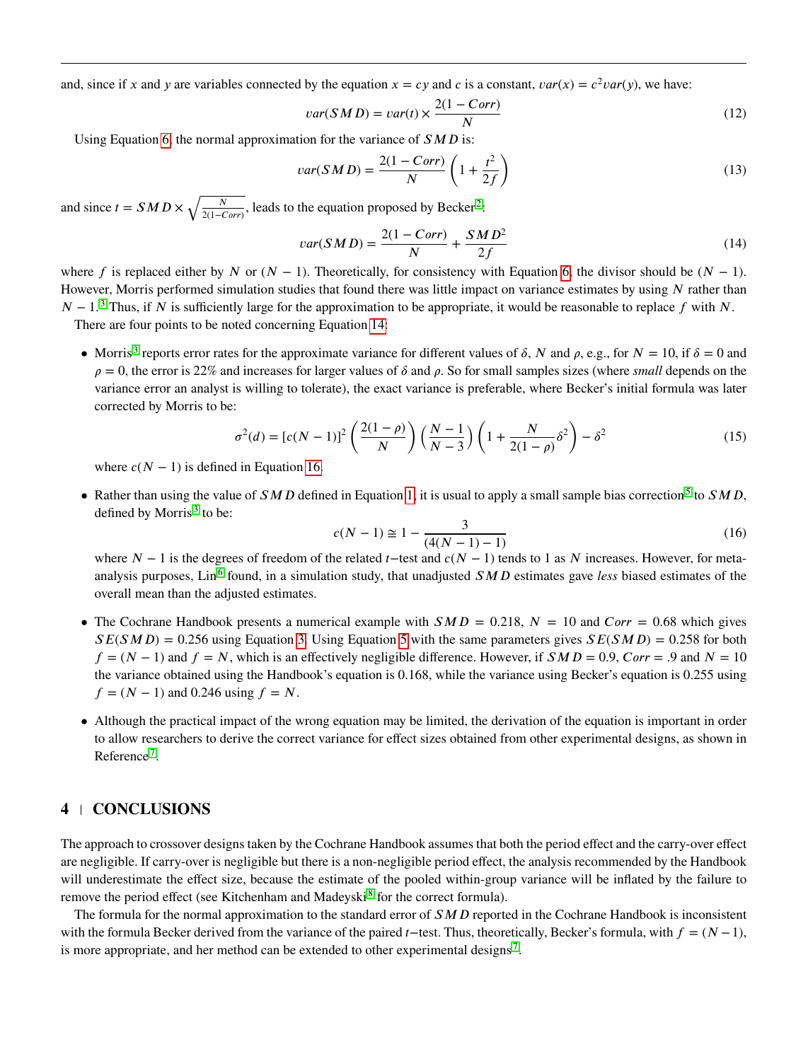and, since if *x* and *y* are variables connected by the equation  $x = cy$  and *c* is a constant,  $var(x) = c^2 var(y)$ , we have:

$$
var(SMD) = var(t) \times \frac{2(1 - Corr)}{N}
$$
\n(12)

Using Equation [6,](#page-1-2) the normal approximation for the variance of  $SMD$  is:

$$
var(SMD) = \frac{2(1 - Corr)}{N} \left( 1 + \frac{t^2}{2f} \right)
$$
\n(13)

and since  $t = SMD \times \sqrt{\frac{N}{2(1-\epsilon)}}$  $\frac{N}{2(1-Corr)}$  $\frac{N}{2(1-Corr)}$  $\frac{N}{2(1-Corr)}$ , leads to the equation proposed by Becker<sup>2</sup>:

<span id="page-2-0"></span>
$$
var(SMD) = \frac{2(1 - Corr)}{N} + \frac{SMD^2}{2f}
$$
\n(14)

where *f* is replaced either by *N* or  $(N - 1)$ . Theoretically, for consistency with Equation [6,](#page-1-2) the divisor should be  $(N - 1)$ . However, Morris performed simulation studies that found there was little impact on variance estimates by using *N* rather than *N* − 1.<sup>[3](#page-3-2)</sup> Thus, if *N* is sufficiently large for the approximation to be appropriate, it would be reasonable to replace *f* with *N*.

There are four points to be noted concerning Equation [14:](#page-2-0)

• Morris<sup>[3](#page-3-2)</sup> reports error rates for the approximate variance for different values of  $\delta$ ,  $N$  and  $\rho$ , e.g., for  $N = 10$ , if  $\delta = 0$  and  $\rho = 0$ , the error is 22% and increases for larger values of  $\delta$  and  $\rho$ . So for small samples sizes (where *small* depends on the variance error an analyst is willing to tolerate), the exact variance is preferable, where Becker's initial formula was later corrected by Morris to be:

<span id="page-2-1"></span>
$$
\sigma^{2}(d) = [c(N-1)]^{2} \left( \frac{2(1-\rho)}{N} \right) \left( \frac{N-1}{N-3} \right) \left( 1 + \frac{N}{2(1-\rho)} \delta^{2} \right) - \delta^{2}
$$
\n(15)

where  $c(N - 1)$  is defined in Equation [16.](#page-2-1)

• Rather than using the value of SMD defined in Equation [1,](#page-0-0) it is usual to apply a small sample bias correction<sup>[5](#page-3-4)</sup> to SMD, defined by Morris $3$  to be:

$$
c(N-1) \cong 1 - \frac{3}{(4(N-1)-1)}
$$
\n(16)

where *N* − 1 is the degrees of freedom of the related *t* − test and  $c(N - 1)$  tends to 1 as *N* increases. However, for meta-analysis purposes, Lin<sup>[6](#page-3-5)</sup> found, in a simulation study, that unadjusted SMD estimates gave less biased estimates of the overall mean than the adjusted estimates.

- The Cochrane Handbook presents a numerical example with  $SMD = 0.218$ ,  $N = 10$  and  $Corr = 0.68$  which gives  $SE(SMD) = 0.256$  using Equation [3.](#page-1-0) Using Equation [5](#page-1-1) with the same parameters gives  $SE(SMD) = 0.258$  for both  $f = (N - 1)$  and  $f = N$ , which is an effectively negligible difference. However, if  $SMD = 0.9$ ,  $Corr = .9$  and  $N = 10$ the variance obtained using the Handbook's equation is 0*.*168, while the variance using Becker's equation is 0*.*255 using  $f = (N - 1)$  and 0.246 using  $f = N$ .
- Although the practical impact of the wrong equation may be limited, the derivation of the equation is important in order to allow researchers to derive the correct variance for effect sizes obtained from other experimental designs, as shown in Reference<sup>[7](#page-3-6)</sup>.

## **4 CONCLUSIONS**

The approach to crossover designs taken by the Cochrane Handbook assumes that both the period effect and the carry-over effect are negligible. If carry-over is negligible but there is a non-negligible period effect, the analysis recommended by the Handbook will underestimate the effect size, because the estimate of the pooled within-group variance will be inflated by the failure to remove the period effect (see Kitchenham and Madeyski<sup>[8](#page-3-7)</sup> for the correct formula).

The formula for the normal approximation to the standard error of *SMD* reported in the Cochrane Handbook is inconsistent with the formula Becker derived from the variance of the paired *t*−test. Thus, theoretically, Becker's formula, with  $f = (N-1)$ , is more appropriate, and her method can be extended to other experimental designs<sup>[7](#page-3-6)</sup>.